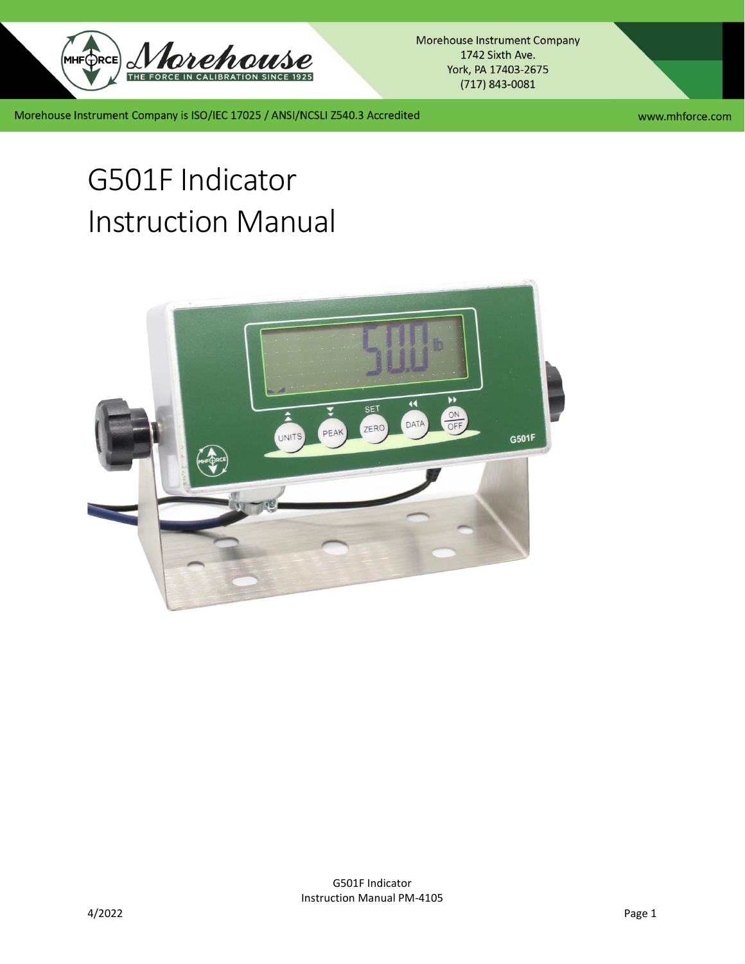

Morehouse Instrument Company 1742 Sixth Ave. York, PA 17403-2675  $(717)$  843-0081

Morehouse Instrument Company is ISO/IEC 17025 / ANSI/NCSLI Z540.3 Accredited

www.mhforce.com

# G501F Indicator Instruction Manual

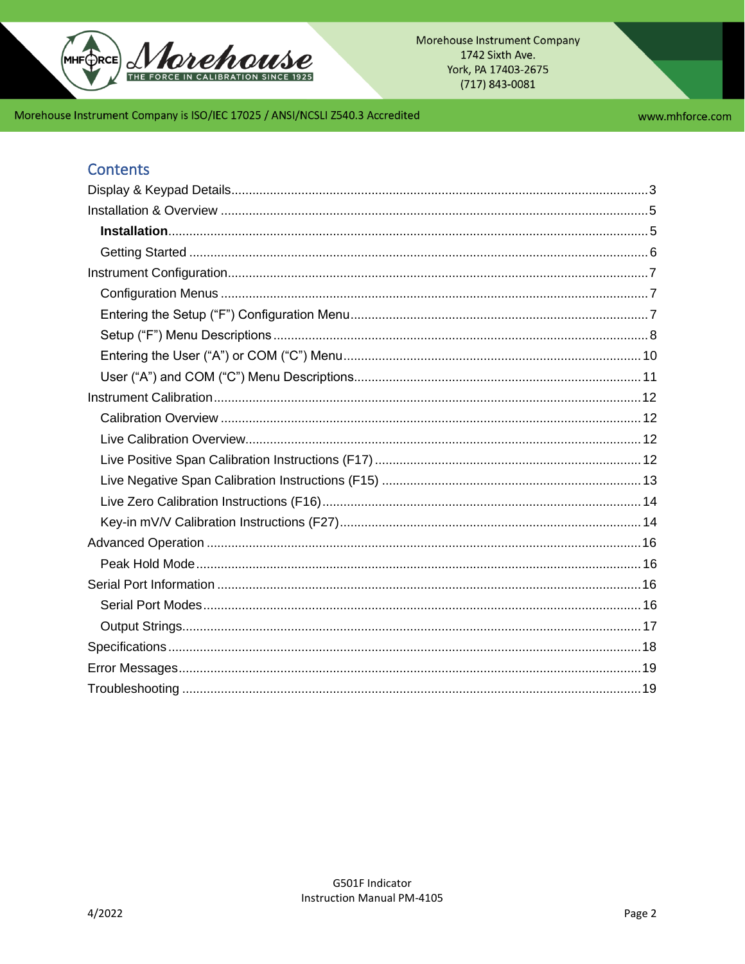

www.mhforce.com

# **Contents**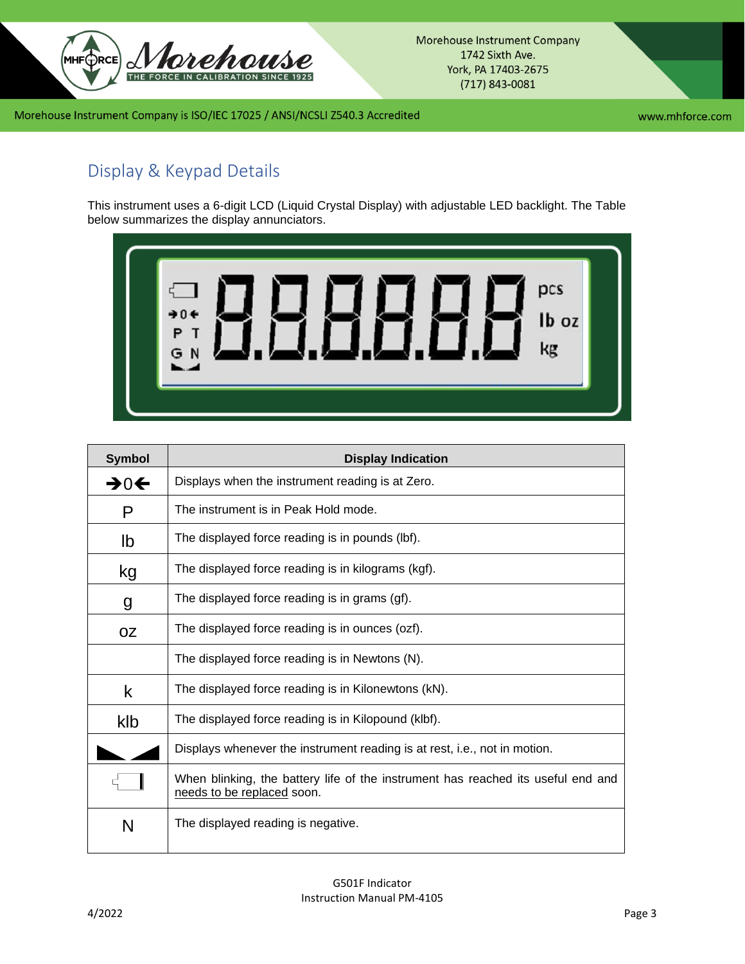

Morehouse Instrument Company 1742 Sixth Ave. York, PA 17403-2675  $(717)$  843-0081

## Morehouse Instrument Company is ISO/IEC 17025 / ANSI/NCSLI Z540.3 Accredited

www.mhforce.com

# <span id="page-2-0"></span>Display & Keypad Details

This instrument uses a 6-digit LCD (Liquid Crystal Display) with adjustable LED backlight. The Table below summarizes the display annunciators.



| <b>Symbol</b>   | <b>Display Indication</b>                                                                                      |
|-----------------|----------------------------------------------------------------------------------------------------------------|
| $\rightarrow 0$ | Displays when the instrument reading is at Zero.                                                               |
| P               | The instrument is in Peak Hold mode.                                                                           |
| lb              | The displayed force reading is in pounds (lbf).                                                                |
| kg              | The displayed force reading is in kilograms (kgf).                                                             |
| g               | The displayed force reading is in grams (gf).                                                                  |
| <b>OZ</b>       | The displayed force reading is in ounces (ozf).                                                                |
|                 | The displayed force reading is in Newtons (N).                                                                 |
| k               | The displayed force reading is in Kilonewtons (kN).                                                            |
| klb             | The displayed force reading is in Kilopound (klbf).                                                            |
|                 | Displays whenever the instrument reading is at rest, i.e., not in motion.                                      |
|                 | When blinking, the battery life of the instrument has reached its useful end and<br>needs to be replaced soon. |
| N               | The displayed reading is negative.                                                                             |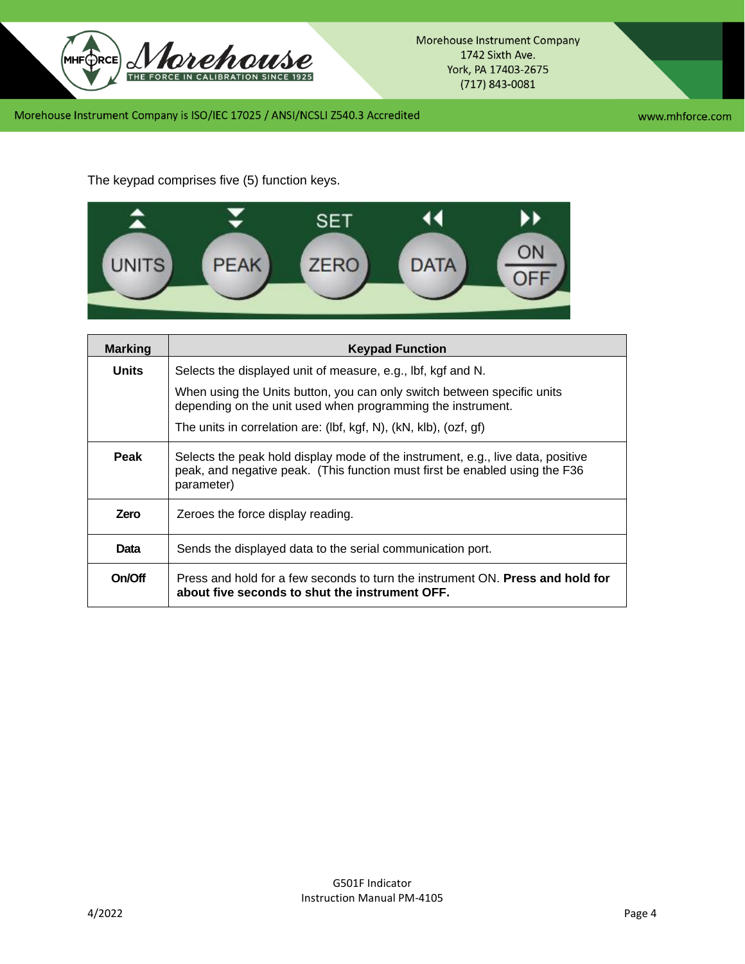

www.mhforce.com

The keypad comprises five (5) function keys.



| <b>Marking</b> | <b>Keypad Function</b>                                                                                                                                                       |  |  |
|----------------|------------------------------------------------------------------------------------------------------------------------------------------------------------------------------|--|--|
| <b>Units</b>   | Selects the displayed unit of measure, e.g., lbf, kgf and N.                                                                                                                 |  |  |
|                | When using the Units button, you can only switch between specific units<br>depending on the unit used when programming the instrument.                                       |  |  |
|                | The units in correlation are: (lbf, kgf, N), (kN, klb), (ozf, gf)                                                                                                            |  |  |
| Peak           | Selects the peak hold display mode of the instrument, e.g., live data, positive<br>peak, and negative peak. (This function must first be enabled using the F36<br>parameter) |  |  |
| Zero           | Zeroes the force display reading.                                                                                                                                            |  |  |
| Data           | Sends the displayed data to the serial communication port.                                                                                                                   |  |  |
| On/Off         | Press and hold for a few seconds to turn the instrument ON. Press and hold for<br>about five seconds to shut the instrument OFF.                                             |  |  |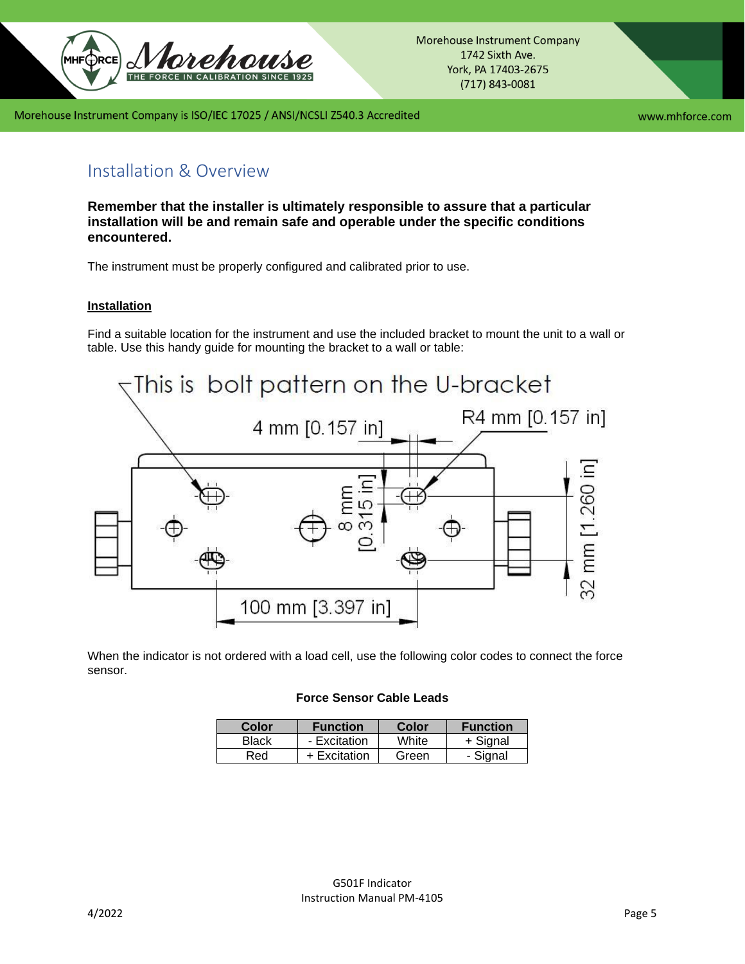

www.mhforce.com

# <span id="page-4-0"></span>Installation & Overview

**Remember that the installer is ultimately responsible to assure that a particular installation will be and remain safe and operable under the specific conditions encountered.**

The instrument must be properly configured and calibrated prior to use.

#### <span id="page-4-1"></span>**Installation**

Find a suitable location for the instrument and use the included bracket to mount the unit to a wall or table. Use this handy guide for mounting the bracket to a wall or table:



When the indicator is not ordered with a load cell, use the following color codes to connect the force sensor.

#### **Force Sensor Cable Leads**

| Color | <b>Function</b> | Color | <b>Function</b> |
|-------|-----------------|-------|-----------------|
| Black | - Excitation    | White | + Signal        |
| Red   | + Excitation    | Green | - Signal        |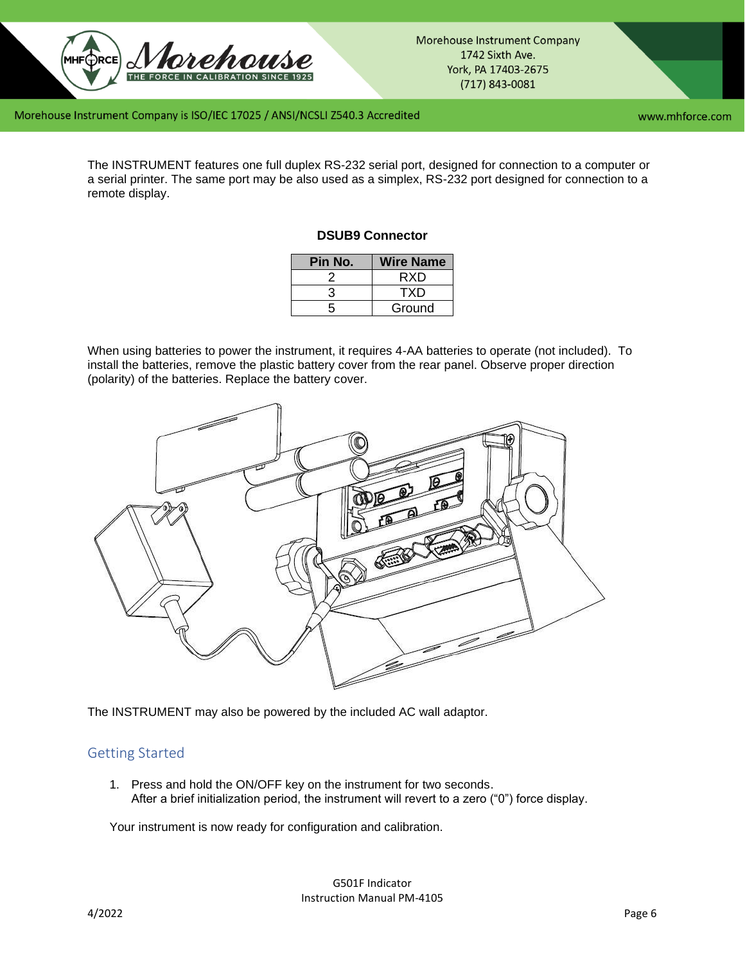

www.mhforce.com

The INSTRUMENT features one full duplex RS-232 serial port, designed for connection to a computer or a serial printer. The same port may be also used as a simplex, RS-232 port designed for connection to a remote display.

## **DSUB9 Connector**

| Pin No. | <b>Wire Name</b> |
|---------|------------------|
|         | RXD              |
|         | TXD              |
| 5       | Ground           |

When using batteries to power the instrument, it requires 4-AA batteries to operate (not included). To install the batteries, remove the plastic battery cover from the rear panel. Observe proper direction (polarity) of the batteries. Replace the battery cover.



The INSTRUMENT may also be powered by the included AC wall adaptor.

## <span id="page-5-0"></span>Getting Started

1. Press and hold the ON/OFF key on the instrument for two seconds. After a brief initialization period, the instrument will revert to a zero ("0") force display.

Your instrument is now ready for configuration and calibration.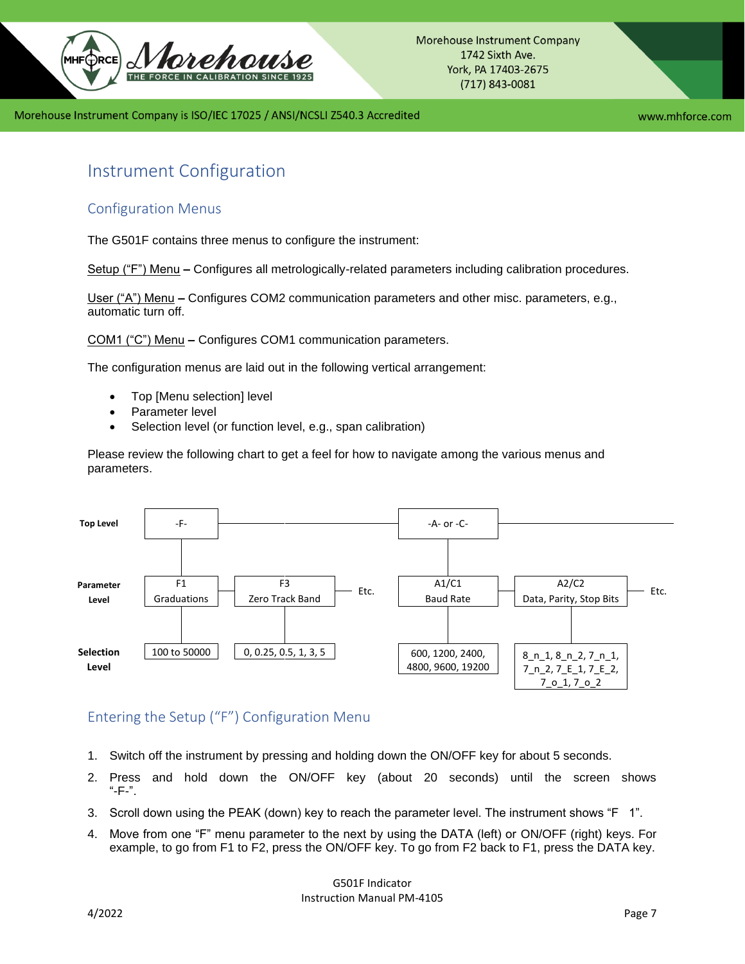

www.mhforce.com

# <span id="page-6-0"></span>Instrument Configuration

# <span id="page-6-1"></span>Configuration Menus

The G501F contains three menus to configure the instrument:

Setup ("F") Menu **–** Configures all metrologically-related parameters including calibration procedures.

User ("A") Menu **–** Configures COM2 communication parameters and other misc. parameters, e.g., automatic turn off.

COM1 ("C") Menu **–** Configures COM1 communication parameters.

The configuration menus are laid out in the following vertical arrangement:

- Top [Menu selection] level
- Parameter level
- Selection level (or function level, e.g., span calibration)

Please review the following chart to get a feel for how to navigate among the various menus and parameters.



# <span id="page-6-2"></span>Entering the Setup ("F") Configuration Menu

- 1. Switch off the instrument by pressing and holding down the ON/OFF key for about 5 seconds.
- 2. Press and hold down the ON/OFF key (about 20 seconds) until the screen shows  $"$ -F-".
- 3. Scroll down using the PEAK (down) key to reach the parameter level. The instrument shows "F 1".
- 4. Move from one "F" menu parameter to the next by using the DATA (left) or ON/OFF (right) keys. For example, to go from F1 to F2, press the ON/OFF key. To go from F2 back to F1, press the DATA key.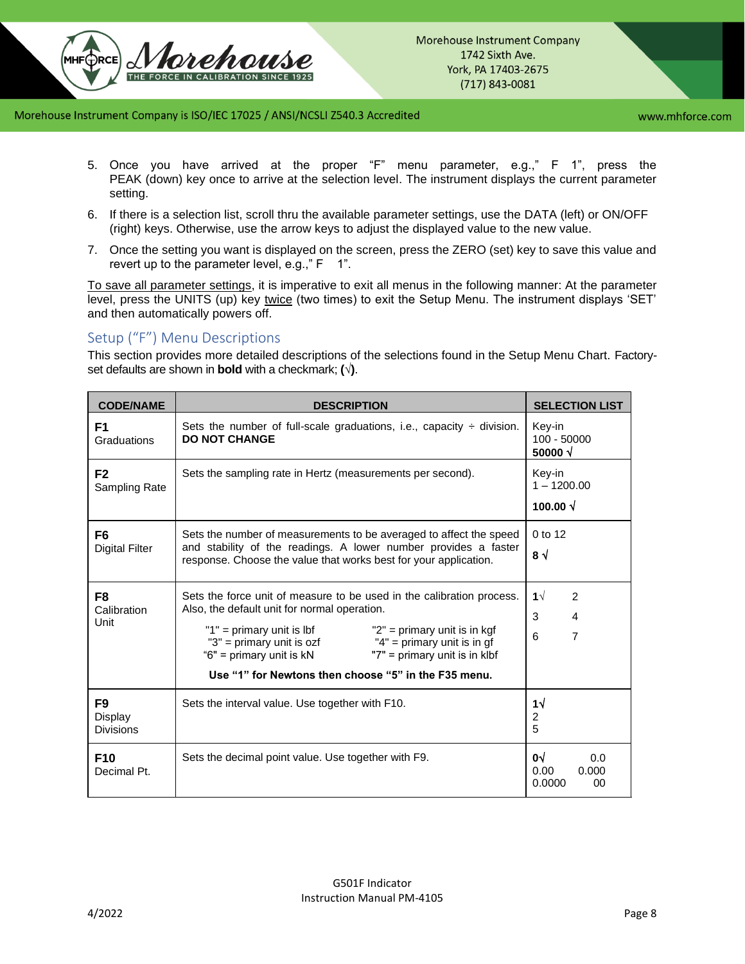

www.mhforce.com

- 5. Once you have arrived at the proper "F" menu parameter, e.g.," F 1", press the PEAK (down) key once to arrive at the selection level. The instrument displays the current parameter setting.
- 6. If there is a selection list, scroll thru the available parameter settings, use the DATA (left) or ON/OFF (right) keys. Otherwise, use the arrow keys to adjust the displayed value to the new value.
- 7. Once the setting you want is displayed on the screen, press the ZERO (set) key to save this value and revert up to the parameter level, e.g.,"  $F = 1$ ".

To save all parameter settings, it is imperative to exit all menus in the following manner: At the parameter level, press the UNITS (up) key twice (two times) to exit the Setup Menu. The instrument displays 'SET' and then automatically powers off.

# <span id="page-7-0"></span>Setup ("F") Menu Descriptions

This section provides more detailed descriptions of the selections found in the Setup Menu Chart. Factoryset defaults are shown in **bold** with a checkmark; **(**√**)**.

| <b>CODE/NAME</b>                        | <b>DESCRIPTION</b>                                                                                                                                                                                                                                                                                                                                                        | <b>SELECTION LIST</b>                      |
|-----------------------------------------|---------------------------------------------------------------------------------------------------------------------------------------------------------------------------------------------------------------------------------------------------------------------------------------------------------------------------------------------------------------------------|--------------------------------------------|
| F <sub>1</sub><br>Graduations           | Sets the number of full-scale graduations, i.e., capacity $\div$ division.<br><b>DO NOT CHANGE</b>                                                                                                                                                                                                                                                                        | Key-in<br>$100 - 50000$<br>50000 $\sqrt$   |
| F <sub>2</sub><br>Sampling Rate         | Sets the sampling rate in Hertz (measurements per second).                                                                                                                                                                                                                                                                                                                | Key-in<br>$1 - 1200.00$<br>100.00 $\sqrt$  |
| F <sub>6</sub><br><b>Digital Filter</b> | Sets the number of measurements to be averaged to affect the speed<br>and stability of the readings. A lower number provides a faster<br>response. Choose the value that works best for your application.                                                                                                                                                                 | 0 to 12<br>8 √                             |
| F <sub>8</sub><br>Calibration<br>Unit   | Sets the force unit of measure to be used in the calibration process.<br>Also, the default unit for normal operation.<br>"1" = primary unit is lbf<br>"2" = primary unit is in $k$ gf<br>"3" = primary unit is ozf<br>" $4"$ = primary unit is in gf<br>"6" = primary unit is kN<br>"7" = primary unit is in klbf<br>Use "1" for Newtons then choose "5" in the F35 menu. | 1 $\sqrt{ }$<br>2<br>3<br>4<br>7<br>6      |
| F9<br>Display<br><b>Divisions</b>       | Sets the interval value. Use together with F10.                                                                                                                                                                                                                                                                                                                           | 1√<br>2<br>5                               |
| F <sub>10</sub><br>Decimal Pt.          | Sets the decimal point value. Use together with F9.                                                                                                                                                                                                                                                                                                                       | 0√<br>0.0<br>0.00<br>0.000<br>0.0000<br>00 |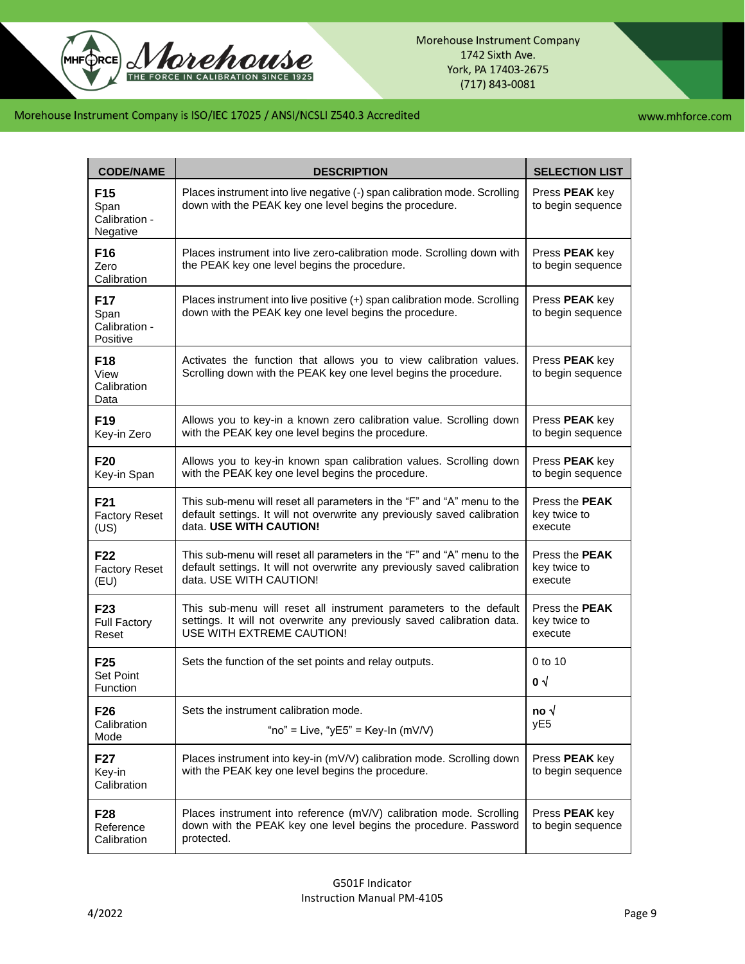

www.mhforce.com

| <b>CODE/NAME</b>                                     | <b>DESCRIPTION</b>                                                                                                                                                            | <b>SELECTION LIST</b>                            |
|------------------------------------------------------|-------------------------------------------------------------------------------------------------------------------------------------------------------------------------------|--------------------------------------------------|
| F15<br>Span<br>Calibration -<br>Negative             | Places instrument into live negative (-) span calibration mode. Scrolling<br>down with the PEAK key one level begins the procedure.                                           | Press <b>PEAK</b> key<br>to begin sequence       |
| F <sub>16</sub><br>Zero<br>Calibration               | Places instrument into live zero-calibration mode. Scrolling down with<br>the PEAK key one level begins the procedure.                                                        | Press PEAK key<br>to begin sequence              |
| F <sub>17</sub><br>Span<br>Calibration -<br>Positive | Places instrument into live positive (+) span calibration mode. Scrolling<br>down with the PEAK key one level begins the procedure.                                           | Press <b>PEAK</b> key<br>to begin sequence       |
| F18<br>View<br>Calibration<br>Data                   | Activates the function that allows you to view calibration values.<br>Scrolling down with the PEAK key one level begins the procedure.                                        | Press <b>PEAK</b> key<br>to begin sequence       |
| F <sub>19</sub><br>Key-in Zero                       | Allows you to key-in a known zero calibration value. Scrolling down<br>with the PEAK key one level begins the procedure.                                                      | Press PEAK key<br>to begin sequence              |
| F <sub>20</sub><br>Key-in Span                       | Allows you to key-in known span calibration values. Scrolling down<br>with the PEAK key one level begins the procedure.                                                       | Press PEAK key<br>to begin sequence              |
| F <sub>21</sub><br><b>Factory Reset</b><br>(US)      | This sub-menu will reset all parameters in the "F" and "A" menu to the<br>default settings. It will not overwrite any previously saved calibration<br>data. USE WITH CAUTION! | Press the <b>PEAK</b><br>key twice to<br>execute |
| F <sub>22</sub><br><b>Factory Reset</b><br>(EU)      | This sub-menu will reset all parameters in the "F" and "A" menu to the<br>default settings. It will not overwrite any previously saved calibration<br>data. USE WITH CAUTION! | Press the <b>PEAK</b><br>key twice to<br>execute |
| F <sub>23</sub><br><b>Full Factory</b><br>Reset      | This sub-menu will reset all instrument parameters to the default<br>settings. It will not overwrite any previously saved calibration data.<br>USE WITH EXTREME CAUTION!      | Press the <b>PEAK</b><br>key twice to<br>execute |
| F <sub>25</sub><br><b>Set Point</b><br>Function      | Sets the function of the set points and relay outputs.                                                                                                                        | 0 to 10<br>$\mathbf{0}$ $\sqrt{ }$               |
| F <sub>26</sub><br>Calibration<br>Mode               | Sets the instrument calibration mode.<br>"no" = Live, "yE5" = Key-In (mV/V)                                                                                                   | no √<br>yE <sub>5</sub>                          |
| F27<br>Key-in<br>Calibration                         | Places instrument into key-in (mV/V) calibration mode. Scrolling down<br>with the PEAK key one level begins the procedure.                                                    | Press PEAK key<br>to begin sequence              |
| F28<br>Reference<br>Calibration                      | Places instrument into reference (mV/V) calibration mode. Scrolling<br>down with the PEAK key one level begins the procedure. Password<br>protected.                          | Press PEAK key<br>to begin sequence              |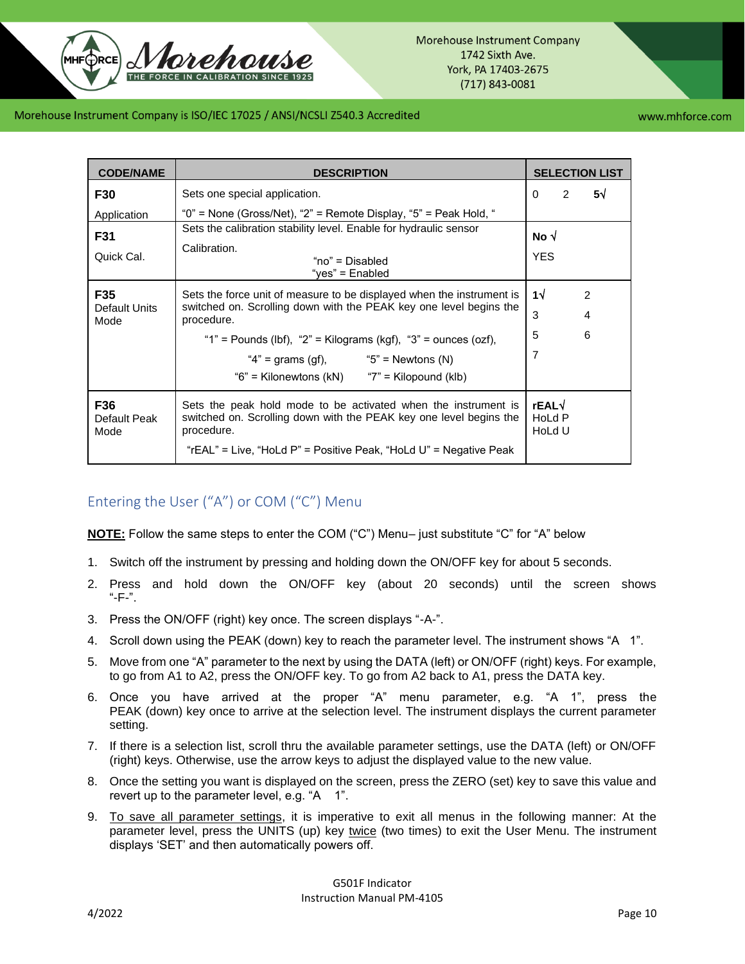www.mhforce.com

| <b>CODE/NAME</b>             | <b>DESCRIPTION</b>                                                                                                                                                                                                      |                                | <b>SELECTION LIST</b> |
|------------------------------|-------------------------------------------------------------------------------------------------------------------------------------------------------------------------------------------------------------------------|--------------------------------|-----------------------|
| F30                          | Sets one special application.                                                                                                                                                                                           | $\overline{2}$<br>$\mathbf{0}$ | $5\sqrt{ }$           |
| Application                  | "0" = None (Gross/Net), "2" = Remote Display, "5" = Peak Hold, "                                                                                                                                                        |                                |                       |
| F31                          | Sets the calibration stability level. Enable for hydraulic sensor                                                                                                                                                       | No √                           |                       |
| Quick Cal.                   | Calibration.<br>"no" = Disabled<br>"yes" = Enabled                                                                                                                                                                      | <b>YES</b>                     |                       |
| F35                          | Sets the force unit of measure to be displayed when the instrument is                                                                                                                                                   | $1\sqrt{ }$                    | 2                     |
| <b>Default Units</b><br>Mode | switched on. Scrolling down with the PEAK key one level begins the<br>procedure.                                                                                                                                        | 3                              | 4                     |
|                              | "1" = Pounds (lbf), "2" = Kilograms (kgf), "3" = ounces (ozf),                                                                                                                                                          | 5                              | 6                     |
|                              | " $4"$ = grams (gf), $"5"$ = Newtons (N)                                                                                                                                                                                | 7                              |                       |
|                              | "6" = Kilonewtons (kN) $"7"$ = Kilopound (klb)                                                                                                                                                                          |                                |                       |
| F36<br>Default Peak<br>Mode  | Sets the peak hold mode to be activated when the instrument is<br>switched on. Scrolling down with the PEAK key one level begins the<br>procedure.<br>"rEAL" = Live, "HoLd P" = Positive Peak, "HoLd U" = Negative Peak | rEAL√<br>HoLd P<br>HoLd U      |                       |

# <span id="page-9-0"></span>Entering the User ("A") or COM ("C") Menu

**NOTE:** Follow the same steps to enter the COM ("C") Menu– just substitute "C" for "A" below

- 1. Switch off the instrument by pressing and holding down the ON/OFF key for about 5 seconds.
- 2. Press and hold down the ON/OFF key (about 20 seconds) until the screen shows "-F-".
- 3. Press the ON/OFF (right) key once. The screen displays "-A-".
- 4. Scroll down using the PEAK (down) key to reach the parameter level. The instrument shows "A 1".
- 5. Move from one "A" parameter to the next by using the DATA (left) or ON/OFF (right) keys. For example, to go from A1 to A2, press the ON/OFF key. To go from A2 back to A1, press the DATA key.
- 6. Once you have arrived at the proper "A" menu parameter, e.g. "A 1", press the PEAK (down) key once to arrive at the selection level. The instrument displays the current parameter setting.
- 7. If there is a selection list, scroll thru the available parameter settings, use the DATA (left) or ON/OFF (right) keys. Otherwise, use the arrow keys to adjust the displayed value to the new value.
- 8. Once the setting you want is displayed on the screen, press the ZERO (set) key to save this value and revert up to the parameter level, e.g. "A 1".
- 9. To save all parameter settings, it is imperative to exit all menus in the following manner: At the parameter level, press the UNITS (up) key twice (two times) to exit the User Menu. The instrument displays 'SET' and then automatically powers off.

G501F Indicator Instruction Manual PM-4105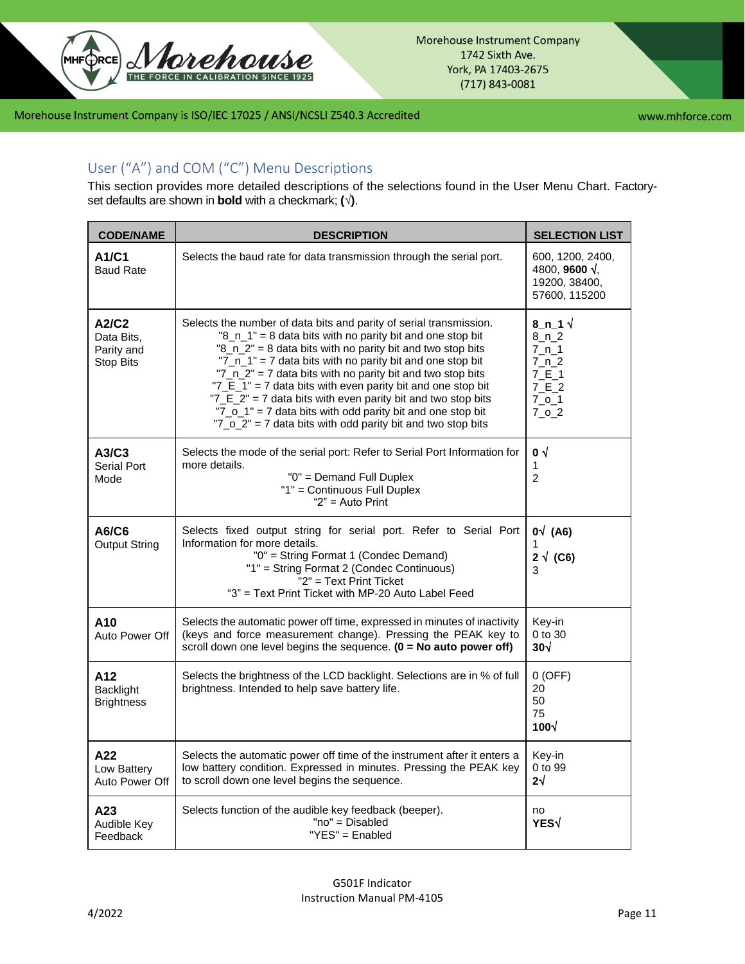

# <span id="page-10-0"></span>User ("A") and COM ("C") Menu Descriptions

This section provides more detailed descriptions of the selections found in the User Menu Chart. Factoryset defaults are shown in **bold** with a checkmark; **(√)**.

| <b>CODE/NAME</b>                                      | <b>DESCRIPTION</b>                                                                                                                                                                                                                                                                                                                                                                                                                                                                                                                                                                   | <b>SELECTION LIST</b>                                                                              |
|-------------------------------------------------------|--------------------------------------------------------------------------------------------------------------------------------------------------------------------------------------------------------------------------------------------------------------------------------------------------------------------------------------------------------------------------------------------------------------------------------------------------------------------------------------------------------------------------------------------------------------------------------------|----------------------------------------------------------------------------------------------------|
| A1/C1<br><b>Baud Rate</b>                             | Selects the baud rate for data transmission through the serial port.                                                                                                                                                                                                                                                                                                                                                                                                                                                                                                                 | 600, 1200, 2400,<br>4800, 9600 $\sqrt{ }$ .<br>19200, 38400,<br>57600, 115200                      |
| A2/C2<br>Data Bits.<br>Parity and<br><b>Stop Bits</b> | Selects the number of data bits and parity of serial transmission.<br>"8_n_1" = 8 data bits with no parity bit and one stop bit<br>"8_n_2" = 8 data bits with no parity bit and two stop bits<br>"7_n_1" = 7 data bits with no parity bit and one stop bit<br>"7_n_2" = 7 data bits with no parity bit and two stop bits<br>"7_E_1" = 7 data bits with even parity bit and one stop bit<br>"7_E_2" = 7 data bits with even parity bit and two stop bits<br>"7_o_1" = 7 data bits with odd parity bit and one stop bit<br>"7_o_2" = 7 data bits with odd parity bit and two stop bits | 8_n_1 $\sqrt$<br>8 n 2<br>$7_n_1$<br>$7_n_2$<br>7 E 1<br>$7_E_2$<br>$7_0$ _1<br>$7_0$ <sub>2</sub> |
| A3/C3<br>Serial Port<br>Mode                          | Selects the mode of the serial port: Refer to Serial Port Information for<br>more details.<br>"0" = Demand Full Duplex<br>"1" = Continuous Full Duplex<br>" $2"$ = Auto Print                                                                                                                                                                                                                                                                                                                                                                                                        | $\mathbf{0}$ $\sqrt{ }$<br>1<br>$\overline{2}$                                                     |
| A6/C6<br><b>Output String</b>                         | Selects fixed output string for serial port. Refer to Serial Port<br>Information for more details.<br>"0" = String Format 1 (Condec Demand)<br>"1" = String Format 2 (Condec Continuous)<br>$"2"$ = Text Print Ticket<br>"3" = Text Print Ticket with MP-20 Auto Label Feed                                                                                                                                                                                                                                                                                                          | $0\sqrt{(A6)}$<br>1<br>$2\sqrt{(C6)}$<br>3                                                         |
| A10<br>Auto Power Off                                 | Selects the automatic power off time, expressed in minutes of inactivity<br>(keys and force measurement change). Pressing the PEAK key to<br>scroll down one level begins the sequence. $(0 = No$ auto power off)                                                                                                                                                                                                                                                                                                                                                                    | Key-in<br>0 to 30<br>30 <sub>1</sub>                                                               |
| A12<br><b>Backlight</b><br><b>Brightness</b>          | Selects the brightness of the LCD backlight. Selections are in % of full<br>brightness. Intended to help save battery life.                                                                                                                                                                                                                                                                                                                                                                                                                                                          | $0$ (OFF)<br>20<br>50<br>75<br>$100\sqrt{ }$                                                       |
| A22<br>Low Battery<br>Auto Power Off                  | Selects the automatic power off time of the instrument after it enters a<br>low battery condition. Expressed in minutes. Pressing the PEAK key<br>to scroll down one level begins the sequence.                                                                                                                                                                                                                                                                                                                                                                                      | Key-in<br>0 to 99<br>$2\sqrt{ }$                                                                   |
| A23<br>Audible Key<br>Feedback                        | Selects function of the audible key feedback (beeper).<br>"no" = Disabled<br>"YES" = Enabled                                                                                                                                                                                                                                                                                                                                                                                                                                                                                         | no<br>YES√                                                                                         |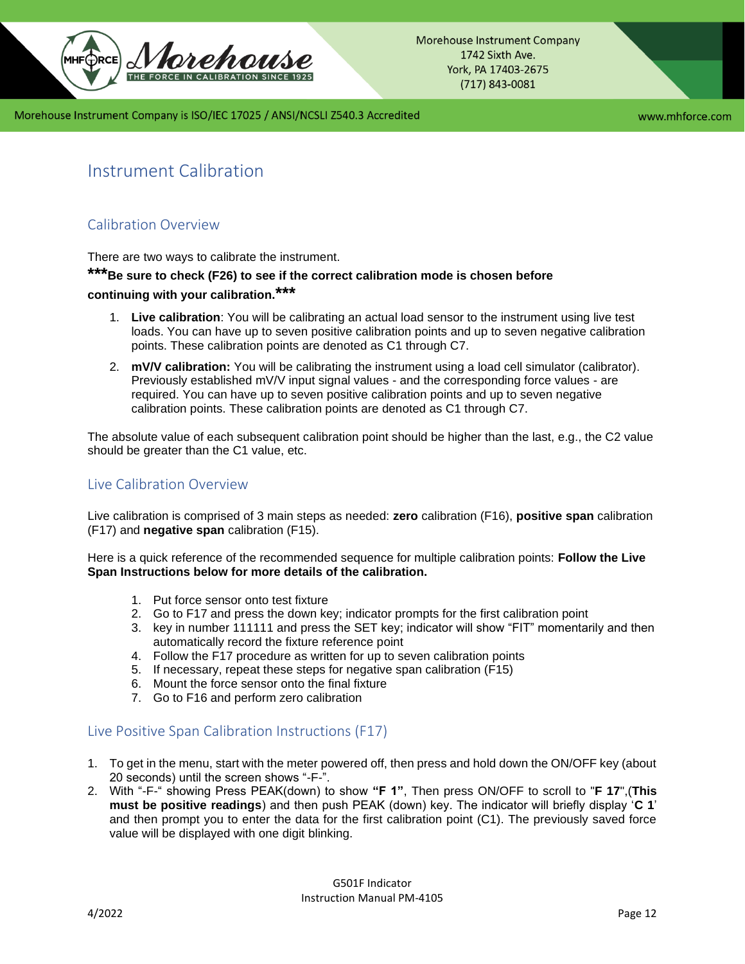

www.mhforce.com

# <span id="page-11-0"></span>Instrument Calibration

# <span id="page-11-1"></span>Calibration Overview

There are two ways to calibrate the instrument.

# **\*\*\*Be sure to check (F26) to see if the correct calibration mode is chosen before**

# **continuing with your calibration.\*\*\***

- 1. **Live calibration**: You will be calibrating an actual load sensor to the instrument using live test loads. You can have up to seven positive calibration points and up to seven negative calibration points. These calibration points are denoted as C1 through C7.
- 2. **mV/V calibration:** You will be calibrating the instrument using a load cell simulator (calibrator). Previously established mV/V input signal values - and the corresponding force values - are required. You can have up to seven positive calibration points and up to seven negative calibration points. These calibration points are denoted as C1 through C7.

The absolute value of each subsequent calibration point should be higher than the last, e.g., the C2 value should be greater than the C1 value, etc.

## <span id="page-11-2"></span>Live Calibration Overview

Live calibration is comprised of 3 main steps as needed: **zero** calibration (F16), **positive span** calibration (F17) and **negative span** calibration (F15).

Here is a quick reference of the recommended sequence for multiple calibration points: **Follow the Live Span Instructions below for more details of the calibration.**

- 1. Put force sensor onto test fixture
- 2. Go to F17 and press the down key; indicator prompts for the first calibration point
- 3. key in number 111111 and press the SET key; indicator will show "FIT" momentarily and then automatically record the fixture reference point
- 4. Follow the F17 procedure as written for up to seven calibration points
- 5. If necessary, repeat these steps for negative span calibration (F15)
- 6. Mount the force sensor onto the final fixture
- 7. Go to F16 and perform zero calibration

## <span id="page-11-3"></span>Live Positive Span Calibration Instructions (F17)

- 1. To get in the menu, start with the meter powered off, then press and hold down the ON/OFF key (about 20 seconds) until the screen shows "-F-".
- 2. With "-F-" showing Press PEAK(down) to show **"F 1"**, Then press ON/OFF to scroll to "**F 17**",(**This must be positive readings**) and then push PEAK (down) key. The indicator will briefly display '**C 1**' and then prompt you to enter the data for the first calibration point (C1). The previously saved force value will be displayed with one digit blinking.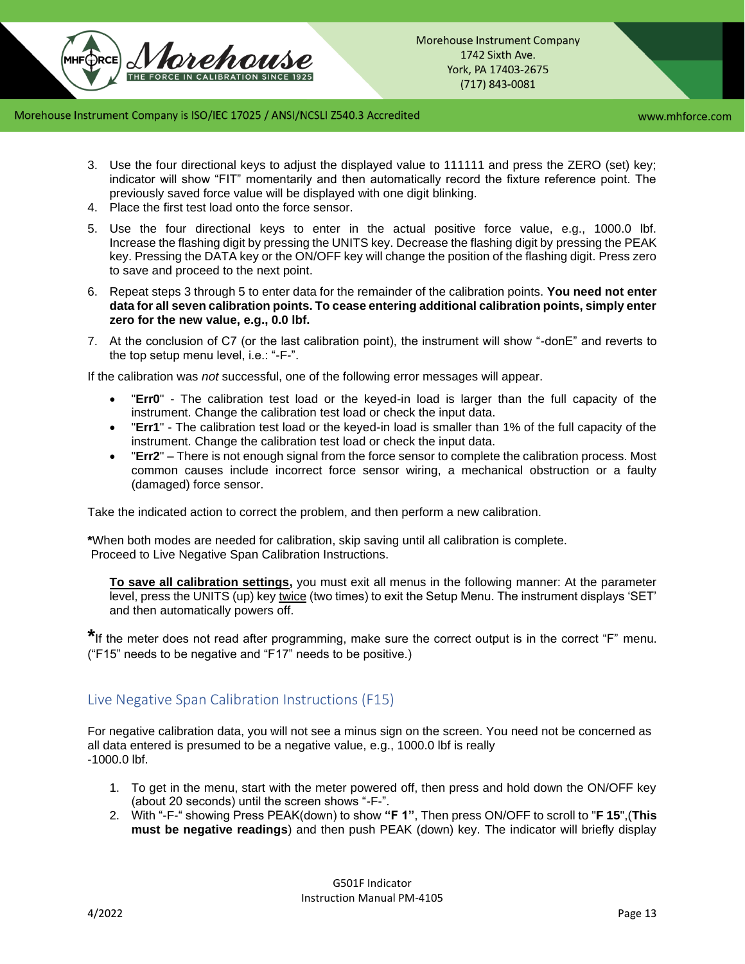www.mhforce.com

- 3. Use the four directional keys to adjust the displayed value to 111111 and press the ZERO (set) key; indicator will show "FIT" momentarily and then automatically record the fixture reference point. The previously saved force value will be displayed with one digit blinking.
- 4. Place the first test load onto the force sensor.
- 5. Use the four directional keys to enter in the actual positive force value, e.g., 1000.0 lbf. Increase the flashing digit by pressing the UNITS key. Decrease the flashing digit by pressing the PEAK key. Pressing the DATA key or the ON/OFF key will change the position of the flashing digit. Press zero to save and proceed to the next point.
- 6. Repeat steps 3 through 5 to enter data for the remainder of the calibration points. **You need not enter data for all seven calibration points. To cease entering additional calibration points, simply enter zero for the new value, e.g., 0.0 lbf.**
- 7. At the conclusion of C7 (or the last calibration point), the instrument will show "-donE" and reverts to the top setup menu level, i.e.: "-F-".

If the calibration was *not* successful, one of the following error messages will appear.

- "**Err0**" The calibration test load or the keyed-in load is larger than the full capacity of the instrument. Change the calibration test load or check the input data.
- "**Err1**" The calibration test load or the keyed-in load is smaller than 1% of the full capacity of the instrument. Change the calibration test load or check the input data.
- "**Err2**" There is not enough signal from the force sensor to complete the calibration process. Most common causes include incorrect force sensor wiring, a mechanical obstruction or a faulty (damaged) force sensor.

Take the indicated action to correct the problem, and then perform a new calibration.

**\***When both modes are needed for calibration, skip saving until all calibration is complete. Proceed to Live Negative Span Calibration Instructions.

**To save all calibration settings,** you must exit all menus in the following manner: At the parameter level, press the UNITS (up) key twice (two times) to exit the Setup Menu. The instrument displays 'SET' and then automatically powers off.

**\***If the meter does not read after programming, make sure the correct output is in the correct "F" menu. ("F15" needs to be negative and "F17" needs to be positive.)

# <span id="page-12-0"></span>Live Negative Span Calibration Instructions (F15)

For negative calibration data, you will not see a minus sign on the screen. You need not be concerned as all data entered is presumed to be a negative value, e.g., 1000.0 lbf is really -1000.0 lbf.

- 1. To get in the menu, start with the meter powered off, then press and hold down the ON/OFF key (about 20 seconds) until the screen shows "-F-".
- 2. With "-F-" showing Press PEAK(down) to show **"F 1"**, Then press ON/OFF to scroll to "**F 15**",(**This must be negative readings**) and then push PEAK (down) key. The indicator will briefly display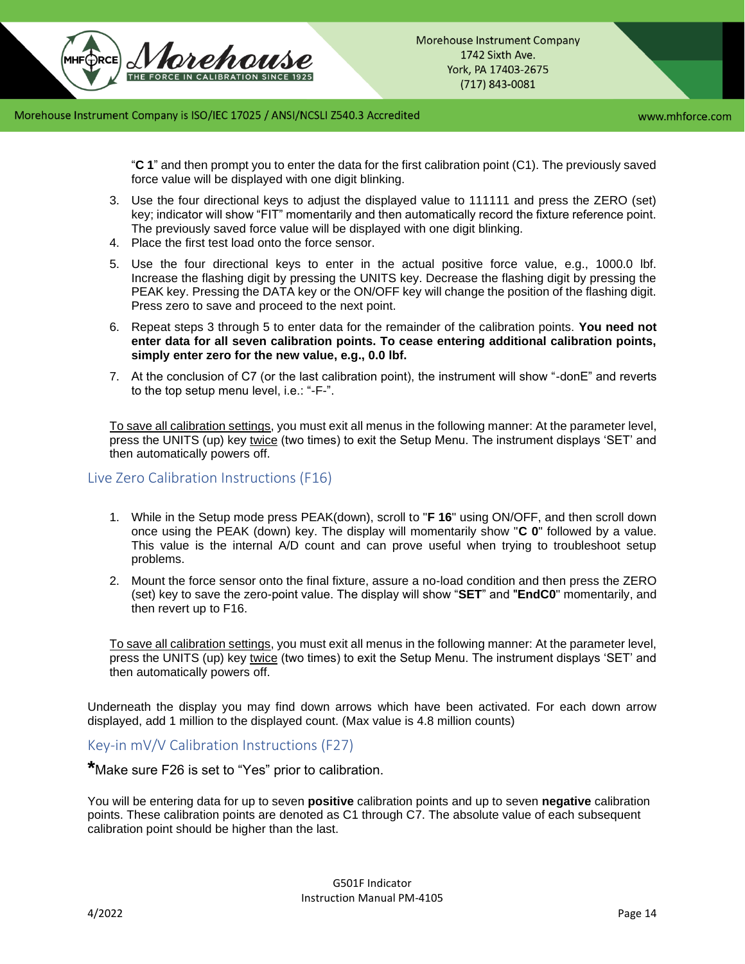www.mhforce.com

"**C 1**" and then prompt you to enter the data for the first calibration point (C1). The previously saved force value will be displayed with one digit blinking.

- 3. Use the four directional keys to adjust the displayed value to 111111 and press the ZERO (set) key; indicator will show "FIT" momentarily and then automatically record the fixture reference point. The previously saved force value will be displayed with one digit blinking.
- 4. Place the first test load onto the force sensor.
- 5. Use the four directional keys to enter in the actual positive force value, e.g., 1000.0 lbf. Increase the flashing digit by pressing the UNITS key. Decrease the flashing digit by pressing the PEAK key. Pressing the DATA key or the ON/OFF key will change the position of the flashing digit. Press zero to save and proceed to the next point.
- 6. Repeat steps 3 through 5 to enter data for the remainder of the calibration points. **You need not enter data for all seven calibration points. To cease entering additional calibration points, simply enter zero for the new value, e.g., 0.0 lbf.**
- 7. At the conclusion of C7 (or the last calibration point), the instrument will show "-donE" and reverts to the top setup menu level, i.e.: "-F-".

To save all calibration settings, you must exit all menus in the following manner: At the parameter level, press the UNITS (up) key twice (two times) to exit the Setup Menu. The instrument displays 'SET' and then automatically powers off.

<span id="page-13-0"></span>Live Zero Calibration Instructions (F16)

- 1. While in the Setup mode press PEAK(down), scroll to "**F 16**" using ON/OFF, and then scroll down once using the PEAK (down) key. The display will momentarily show "**C 0**" followed by a value. This value is the internal A/D count and can prove useful when trying to troubleshoot setup problems.
- 2. Mount the force sensor onto the final fixture, assure a no-load condition and then press the ZERO (set) key to save the zero-point value. The display will show "**SET**" and "**EndC0**" momentarily, and then revert up to F16.

To save all calibration settings, you must exit all menus in the following manner: At the parameter level, press the UNITS (up) key twice (two times) to exit the Setup Menu. The instrument displays 'SET' and then automatically powers off.

Underneath the display you may find down arrows which have been activated. For each down arrow displayed, add 1 million to the displayed count. (Max value is 4.8 million counts)

<span id="page-13-1"></span>Key-in mV/V Calibration Instructions (F27)

**\***Make sure F26 is set to "Yes" prior to calibration.

You will be entering data for up to seven **positive** calibration points and up to seven **negative** calibration points. These calibration points are denoted as C1 through C7. The absolute value of each subsequent calibration point should be higher than the last.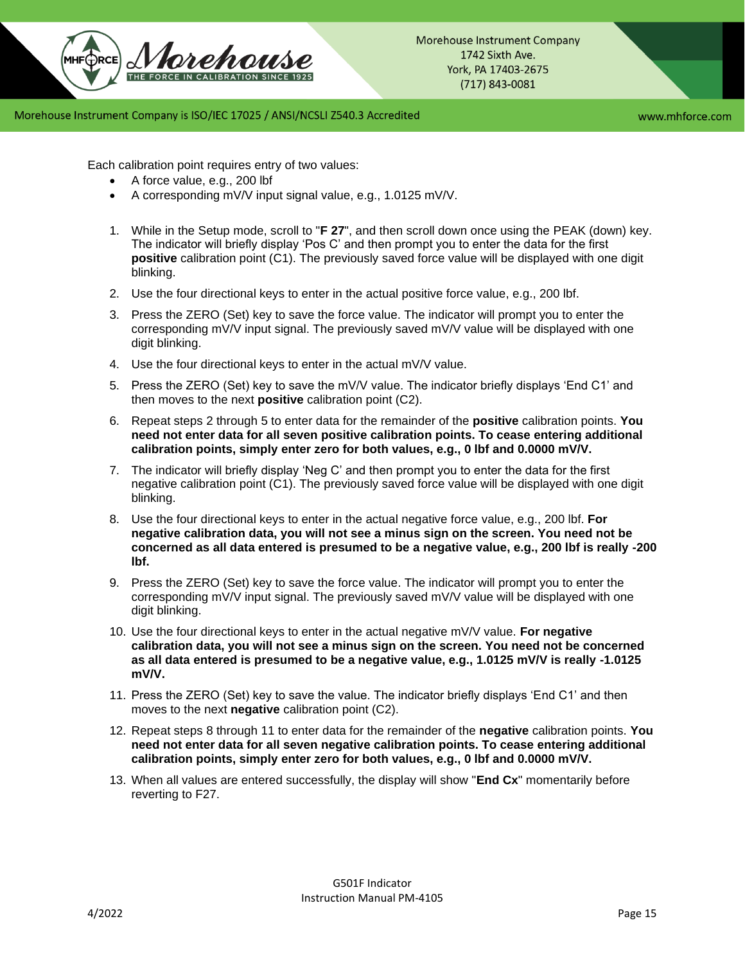www.mhforce.com

Each calibration point requires entry of two values:

- A force value, e.g., 200 lbf
- A corresponding mV/V input signal value, e.g., 1.0125 mV/V.
- 1. While in the Setup mode, scroll to "**F 27**", and then scroll down once using the PEAK (down) key. The indicator will briefly display 'Pos C' and then prompt you to enter the data for the first **positive** calibration point (C1). The previously saved force value will be displayed with one digit blinking.
- 2. Use the four directional keys to enter in the actual positive force value, e.g., 200 lbf.
- 3. Press the ZERO (Set) key to save the force value. The indicator will prompt you to enter the corresponding mV/V input signal. The previously saved mV/V value will be displayed with one digit blinking.
- 4. Use the four directional keys to enter in the actual mV/V value.
- 5. Press the ZERO (Set) key to save the mV/V value. The indicator briefly displays 'End C1' and then moves to the next **positive** calibration point (C2).
- 6. Repeat steps 2 through 5 to enter data for the remainder of the **positive** calibration points. **You need not enter data for all seven positive calibration points. To cease entering additional calibration points, simply enter zero for both values, e.g., 0 lbf and 0.0000 mV/V.**
- 7. The indicator will briefly display 'Neg C' and then prompt you to enter the data for the first negative calibration point (C1). The previously saved force value will be displayed with one digit blinking.
- 8. Use the four directional keys to enter in the actual negative force value, e.g., 200 lbf. **For negative calibration data, you will not see a minus sign on the screen. You need not be concerned as all data entered is presumed to be a negative value, e.g., 200 lbf is really -200 lbf.**
- 9. Press the ZERO (Set) key to save the force value. The indicator will prompt you to enter the corresponding mV/V input signal. The previously saved mV/V value will be displayed with one digit blinking.
- 10. Use the four directional keys to enter in the actual negative mV/V value. **For negative calibration data, you will not see a minus sign on the screen. You need not be concerned as all data entered is presumed to be a negative value, e.g., 1.0125 mV/V is really -1.0125 mV/V.**
- 11. Press the ZERO (Set) key to save the value. The indicator briefly displays 'End C1' and then moves to the next **negative** calibration point (C2).
- 12. Repeat steps 8 through 11 to enter data for the remainder of the **negative** calibration points. **You need not enter data for all seven negative calibration points. To cease entering additional calibration points, simply enter zero for both values, e.g., 0 lbf and 0.0000 mV/V.**
- 13. When all values are entered successfully, the display will show "**End Cx**" momentarily before reverting to F27.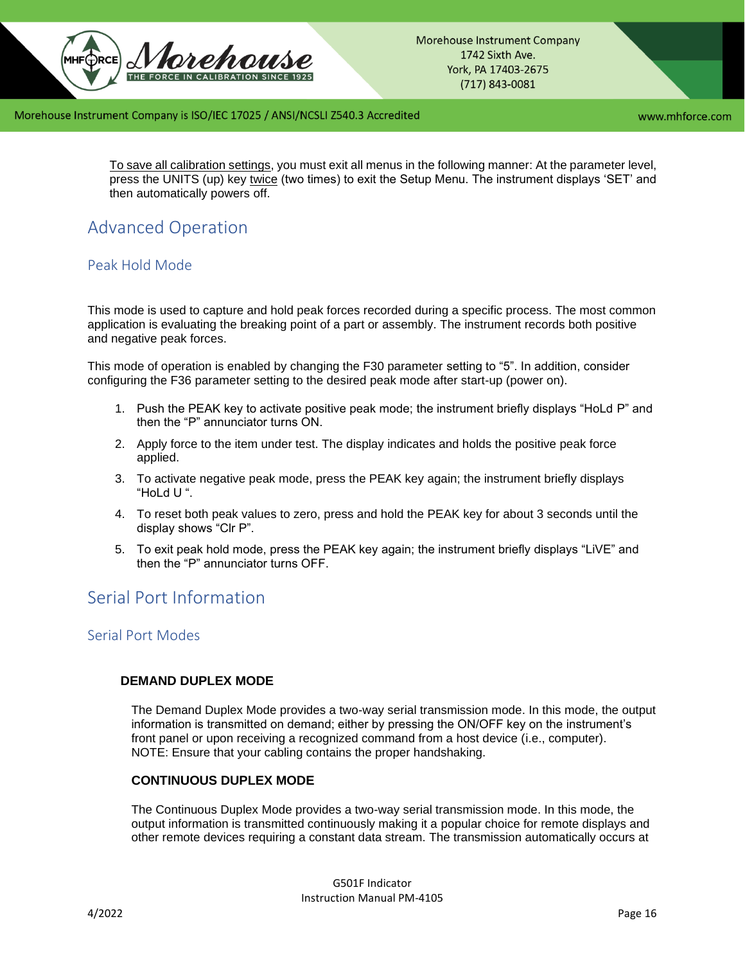

www.mhforce.com

To save all calibration settings, you must exit all menus in the following manner: At the parameter level, press the UNITS (up) key twice (two times) to exit the Setup Menu. The instrument displays 'SET' and then automatically powers off.

# <span id="page-15-0"></span>Advanced Operation

# <span id="page-15-1"></span>Peak Hold Mode

This mode is used to capture and hold peak forces recorded during a specific process. The most common application is evaluating the breaking point of a part or assembly. The instrument records both positive and negative peak forces.

This mode of operation is enabled by changing the F30 parameter setting to "5". In addition, consider configuring the F36 parameter setting to the desired peak mode after start-up (power on).

- 1. Push the PEAK key to activate positive peak mode; the instrument briefly displays "HoLd P" and then the "P" annunciator turns ON.
- 2. Apply force to the item under test. The display indicates and holds the positive peak force applied.
- 3. To activate negative peak mode, press the PEAK key again; the instrument briefly displays "HoLd U ".
- 4. To reset both peak values to zero, press and hold the PEAK key for about 3 seconds until the display shows "Clr P".
- 5. To exit peak hold mode, press the PEAK key again; the instrument briefly displays "LiVE" and then the "P" annunciator turns OFF.

# <span id="page-15-2"></span>Serial Port Information

## <span id="page-15-3"></span>Serial Port Modes

### **DEMAND DUPLEX MODE**

The Demand Duplex Mode provides a two-way serial transmission mode. In this mode, the output information is transmitted on demand; either by pressing the ON/OFF key on the instrument's front panel or upon receiving a recognized command from a host device (i.e., computer). NOTE: Ensure that your cabling contains the proper handshaking.

### **CONTINUOUS DUPLEX MODE**

The Continuous Duplex Mode provides a two-way serial transmission mode. In this mode, the output information is transmitted continuously making it a popular choice for remote displays and other remote devices requiring a constant data stream. The transmission automatically occurs at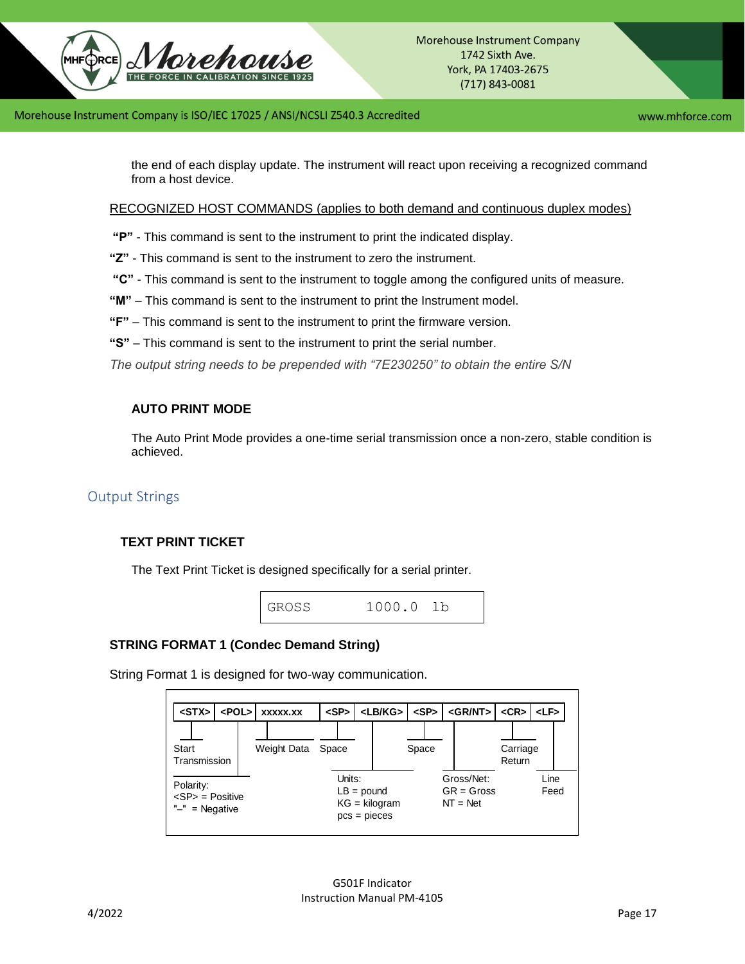

www.mhforce.com

the end of each display update. The instrument will react upon receiving a recognized command from a host device.

RECOGNIZED HOST COMMANDS (applies to both demand and continuous duplex modes)

- **"P"**  This command is sent to the instrument to print the indicated display.
- **"Z"**  This command is sent to the instrument to zero the instrument.
- **"C"**  This command is sent to the instrument to toggle among the configured units of measure.
- **"M"**  This command is sent to the instrument to print the Instrument model.
- **"F"**  This command is sent to the instrument to print the firmware version.
- **"S"**  This command is sent to the instrument to print the serial number.

*The output string needs to be prepended with "7E230250" to obtain the entire S/N*

## **AUTO PRINT MODE**

The Auto Print Mode provides a one-time serial transmission once a non-zero, stable condition is achieved.

## <span id="page-16-0"></span>Output Strings

## **TEXT PRINT TICKET**

The Text Print Ticket is designed specifically for a serial printer.



### **STRING FORMAT 1 (Condec Demand String)**

String Format 1 is designed for two-way communication.

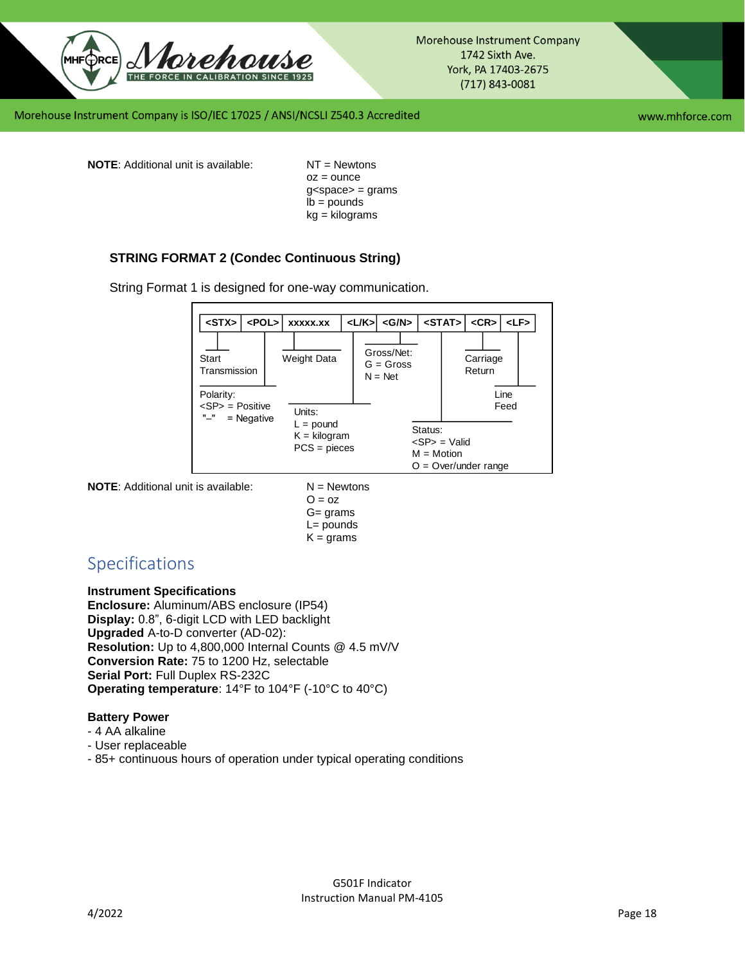

Morehouse Instrument Company 1742 Sixth Ave. York, PA 17403-2675  $(717) 843 - 0081$ 

Morehouse Instrument Company is ISO/IEC 17025 / ANSI/NCSLI Z540.3 Accredited

www.mhforce.com

**NOTE:** Additional unit is available: NT = Newtons

 $oz = ounce$  $g$ <space> = grams  $\mathsf{lb} = \mathsf{pounds}$ kg = kilograms

## **STRING FORMAT 2 (Condec Continuous String)**

String Format 1 is designed for one-way communication.



**NOTE:** Additional unit is available:  $N =$  Newtons

 $O = oz$ G= grams  $L =$  pounds  $K =$  grams

# <span id="page-17-0"></span>Specifications

#### **Instrument Specifications**

**Enclosure:** Aluminum/ABS enclosure (IP54) **Display:** 0.8", 6-digit LCD with LED backlight **Upgraded** A-to-D converter (AD-02): **Resolution:** Up to 4,800,000 Internal Counts @ 4.5 mV/V **Conversion Rate:** 75 to 1200 Hz, selectable **Serial Port:** Full Duplex RS-232C **Operating temperature**: 14°F to 104°F (-10°C to 40°C)

### **Battery Power**

- 4 AA alkaline
- User replaceable
- 85+ continuous hours of operation under typical operating conditions